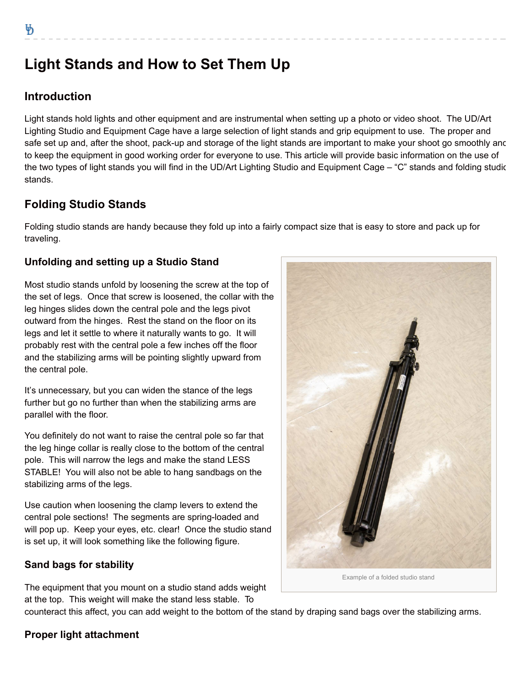# **Light Stands and How to Set Them Up**

## **Introduction**

Light stands hold lights and other equipment and are instrumental when setting up a photo or video shoot. The UD/Art Lighting Studio and Equipment Cage have a large selection of light stands and grip equipment to use. The proper and safe set up and, after the shoot, pack-up and storage of the light stands are important to make your shoot go smoothly anc to keep the equipment in good working order for everyone to use. This article will provide basic information on the use of the two types of light stands you will find in the UD/Art Lighting Studio and Equipment Cage – "C" stands and folding studic stands.

## **Folding Studio Stands**

Folding studio stands are handy because they fold up into a fairly compact size that is easy to store and pack up for traveling.

## **Unfolding and setting up a Studio Stand**

Most studio stands unfold by loosening the screw at the top of the set of legs. Once that screw is loosened, the collar with the leg hinges slides down the central pole and the legs pivot outward from the hinges. Rest the stand on the floor on its legs and let it settle to where it naturally wants to go. It will probably rest with the central pole a few inches off the floor and the stabilizing arms will be pointing slightly upward from the central pole.

It's unnecessary, but you can widen the stance of the legs further but go no further than when the stabilizing arms are parallel with the floor.

You definitely do not want to raise the central pole so far that the leg hinge collar is really close to the bottom of the central pole. This will narrow the legs and make the stand LESS STABLE! You will also not be able to hang sandbags on the stabilizing arms of the legs.

Use caution when loosening the clamp levers to extend the central pole sections! The segments are spring-loaded and will pop up. Keep your eyes, etc. clear! Once the studio stand is set up, it will look something like the following figure.

## **Sand bags for stability**

The equipment that you mount on a studio stand adds weight at the top. This weight will make the stand less stable. To

Example of a folded studio stand

counteract this affect, you can add weight to the bottom of the stand by draping sand bags over the stabilizing arms.

## **Proper light attachment**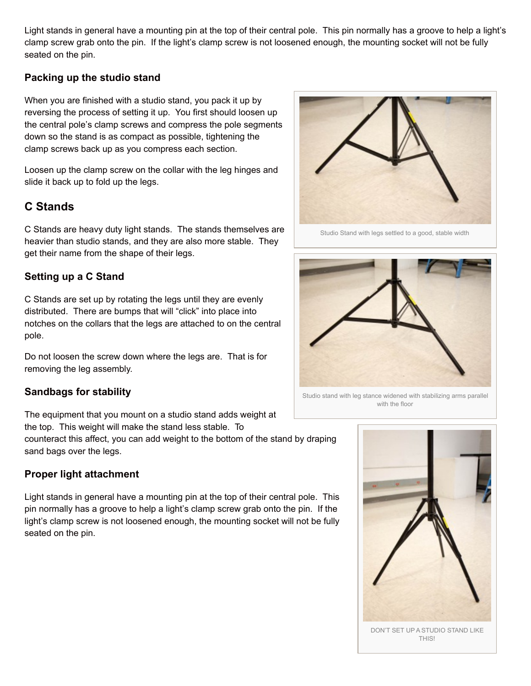Light stands in general have a mounting pin at the top of their central pole. This pin normally has a groove to help a light's clamp screw grab onto the pin. If the light's clamp screw is not loosened enough, the mounting socket will not be fully seated on the pin.

#### **Packing up the studio stand**

When you are finished with a studio stand, you pack it up by reversing the process of setting it up. You first should loosen up the central pole's clamp screws and compress the pole segments down so the stand is as compact as possible, tightening the clamp screws back up as you compress each section.

Loosen up the clamp screw on the collar with the leg hinges and slide it back up to fold up the legs.

### **C Stands**

C Stands are heavy duty light stands. The stands themselves are heavier than studio stands, and they are also more stable. They get their name from the shape of their legs.

#### **Setting up a C Stand**

C Stands are set up by rotating the legs until they are evenly distributed. There are bumps that will "click" into place into notches on the collars that the legs are attached to on the central pole.

Do not loosen the screw down where the legs are. That is for removing the leg assembly.

#### **Sandbags for stability**

The equipment that you mount on a studio stand adds weight at the top. This weight will make the stand less stable. To

counteract this affect, you can add weight to the bottom of the stand by draping sand bags over the legs.

#### **Proper light attachment**

Light stands in general have a mounting pin at the top of their central pole. This pin normally has a groove to help a light's clamp screw grab onto the pin. If the light's clamp screw is not loosened enough, the mounting socket will not be fully seated on the pin.



Studio Stand with legs settled to a good, stable width



Studio stand with leg stance widened with stabilizing arms parallel with the floor



DON'T SET UP A STUDIO STAND LIKE THIS!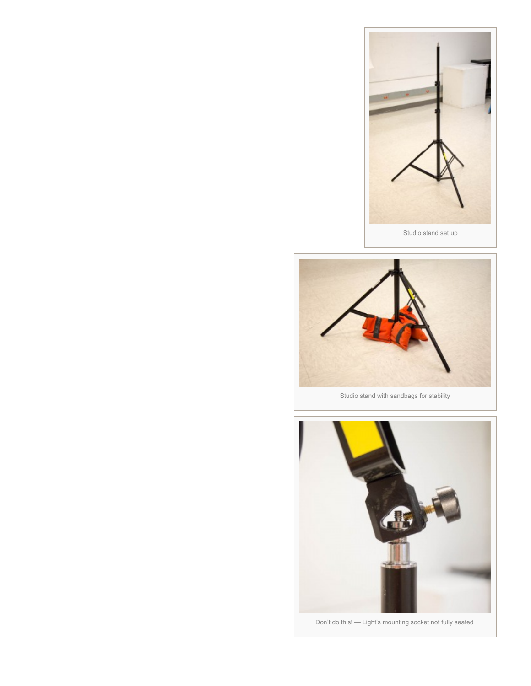



Studio stand with sandbags for stability



Don't do this! — Light's mounting socket not fully seated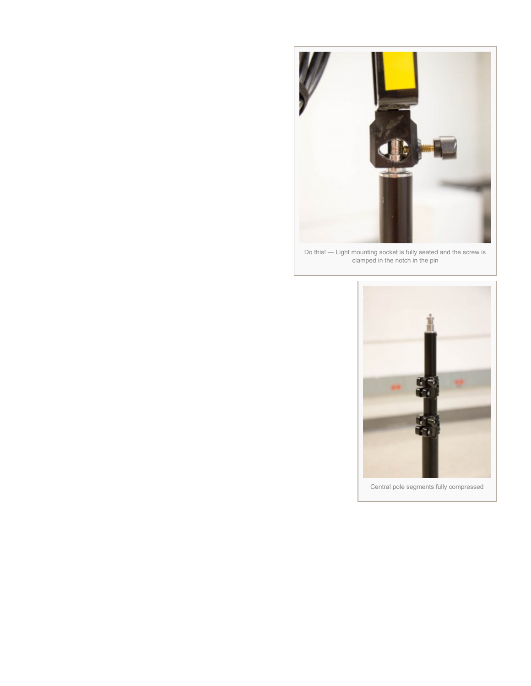

Do this! — Light mounting socket is fully seated and the screw is clamped in the notch in the pin

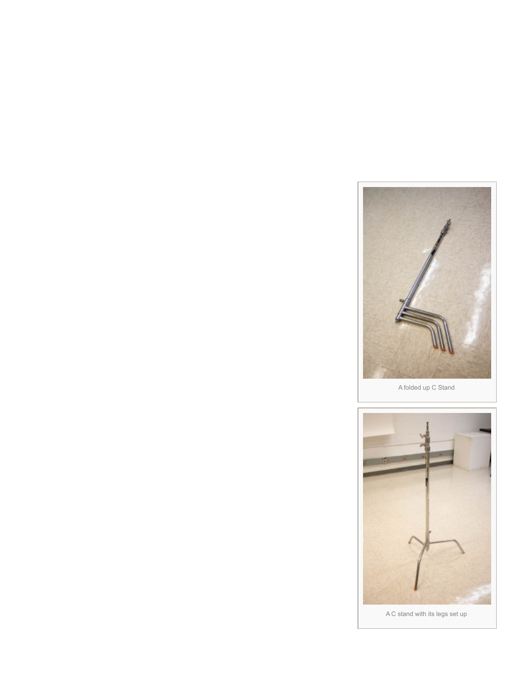

A folded up C Stand



A C stand with its legs set up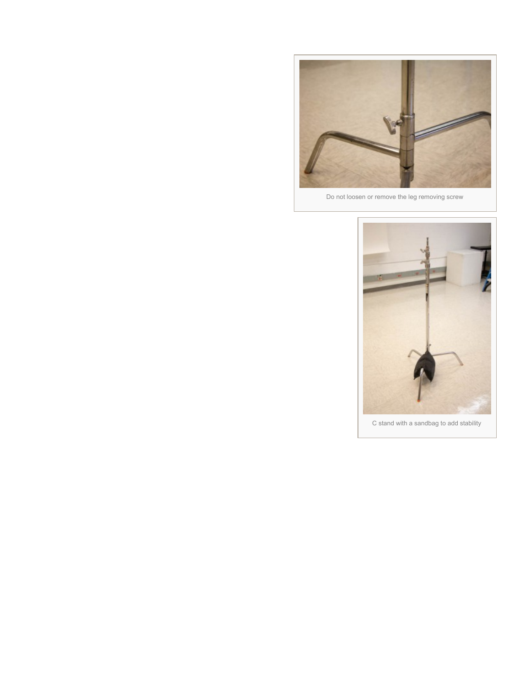

Do not loosen or remove the leg removing screw



C stand with a sandbag to add stability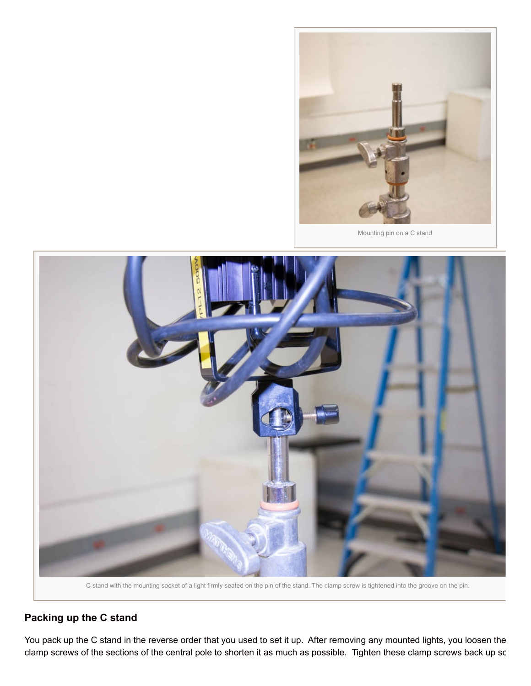

Mounting pin on a C stand



C stand with the mounting socket of a light firmly seated on the pin of the stand. The clamp screw is tightened into the groove on the pin.

#### **Packing up the C stand**

You pack up the C stand in the reverse order that you used to set it up. After removing any mounted lights, you loosen the clamp screws of the sections of the central pole to shorten it as much as possible. Tighten these clamp screws back up sc